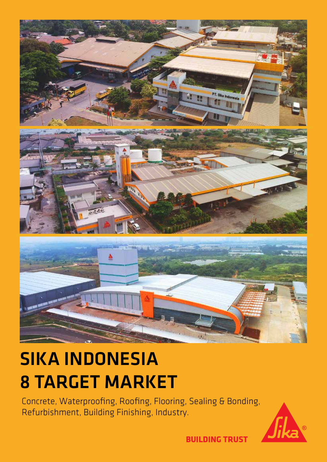

## SIKA INDONESIA 8 TARGET MARKET

Concrete, Waterproofing, Roofing, Flooring, Sealing & Bonding, Refurbishment, Building Finishing, Industry.



**BUILDING TRUST**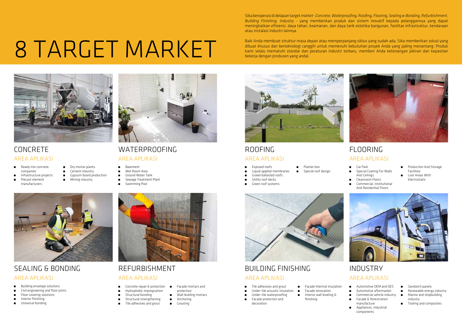Sika beroperasi di delapan target *market*- *Concrete, Waterproofing, Roofing, Flooring, Sealing & Bonding, Refurbishment, Building Finishing, Industry* - yang memberikan produk dan sistem inovatif kepada pelanggannya yang dapat meningkatkan efisiensi, daya tahan, keamanan, dan daya tarik estetika bangunan, fasilitas infrastruktur, kendaraan atau instalasi industri lainnya.

Baik Anda membuat struktur masa depan atau memperpanjang siklus yang sudah ada, Sika memberikan solusi yang dibuat khusus dan berteknologi canggih untuk memenuhi kebutuhan proyek Anda yang paling menantang. Produk<br>kami selalu mematuhi standar dan peraturan industri terbaru, memberi Anda ketenangan pikiran dan kepastian



## WATERPROOFING ROOFING ROOFING ROOFING FLOORING

- $\blacksquare$  Liquid applied membranes
- **EXECUTE:** Gravel ballasted roofs
- 
- 
- 

**EXECUTE:** Floor covering solutions å Interior finishing å Universal bonding

## CONCRETE

- **Ready mix concrete** companies
- **n** Dry mortar plants
- **a** Cement industry
- å Gypsum board production
- **a** Mining industry
- 
- 
- 
- 
- 
- 
- 



- **EXECONCRETE REPAIR & protection**
- å Hydrophobic impregnation
- 
- 
- $\blacksquare$  Tile adhesives and grout
- **Example 2** Facade mortars and protection
- $\blacksquare$  Wall leveling mortars
- **a** Anchoring **a** Grouting
- 

SEALING & BONDING

- Car Park å Special Coating For Walls And Ceilings
- å Cleanroom Floors
- å Commercial, Institutional And Residential Floors
- **Production And Storage** Facilities å Loor Areas With Electrostatic



- 
- **Automotive OEM and OES** å Automotive aftermarket
- **•** Commercial vehicle industry
- **EXECUTE:** Facade & fenestration manufacture
- å Appliances, industrial components
- **B** Sandwich panels
- å Renewable energy industry  $\blacksquare$  Marine and shipbuilding industry
- $\blacksquare$  Tooling and composites

AREA APLIKASI AREA APLIKASI AREA APLIKASI AREA APLIKASI

AREA APLIKASI

### REFURBISHMENT BUILDING FINISHING INDUSTRY AREA APLIKASI AREA APLIKASI AREA APLIKASI

å Building envelope solutions å Civil engineering and floor joints

- **Tile adhesives and grout**
- Under-tile acoustic insulation
- **a** Under-tile waterproofing
- **Example 2** Facade protection and decoration
- - **EXEC** Facade thermal insulation **EXEC** Facade renovation
	- **a** Interior wall leveling & finishing

# Baik Anda membuat struktur masa d<br>dibuat khusus dan berteknologi cang<br>bekerja dengan produsen yang andal.



å Infrastructure projects

å Precast element manufacturers

- 
- 
- 

 $\blacksquare$  Structural strengthening

å Basement

å Wet Room Area å Ground Water Tank å Sewage Treatment Plant

å Swimming Pool



### å Structural bonding

- **n** Planter box å Special roof design
- 
- 
- å Utility roof decks
- **a** Green roof systems